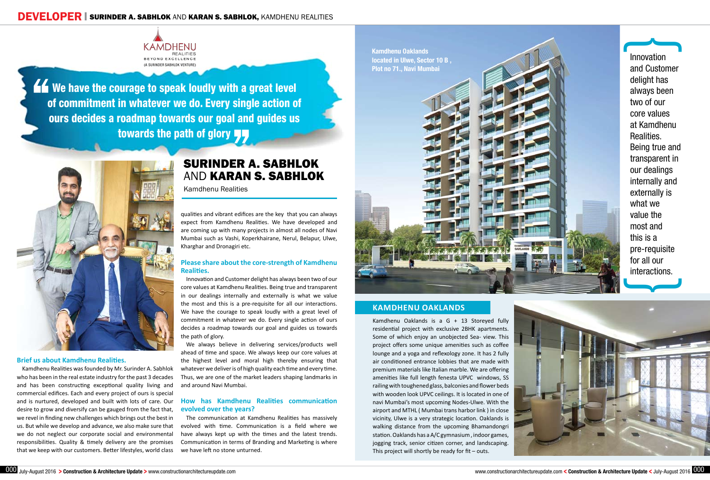## **DEVELOPER SURINDER A. SABHLOK AND KARAN S. SABHLOK, KAMDHENU REALITIES**



Kow we have the courage to speak loudly with a great level of commitment in whatever we do. Every single action of ours decides a roadmap towards our goal and guides us towards the path of glory



Kamdhenu Oaklands is a G + 13 Storeyed fully residential project with exclusive 2BHK apartments. Some of which enjoy an unobjected Sea- view. This project offers some unique amenities such as coffee lounge and a yoga and reflexology zone. It has 2 fully air conditioned entrance lobbies that are made with premium materials like Italian marble. We are offering amenities like full length fenesta UPVC windows, SS railing with toughened glass, balconies and flower beds with wooden look UPVC ceilings. It is located in one of navi Mumbai's most upcoming Nodes-Ulwe. With the airport and MTHL ( Mumbai trans harbor link ) in close vicinity, Ulwe is a very strategic location. Oaklands is walking distance from the upcoming Bhamandongri station. Oaklands has a A/C gymnasium , indoor games, jogging track, senior citizen corner, and landscaping. This project will shortly be ready for  $fit -$ outs.



# Surinder A. Sabhlok and Karan S. Sabhlok

Kamdhenu Realities

### **Brief us about Kamdhenu Realities.**

Innovation and Customer delight has always been two of our core values at Kamdhenu Realities. Being true and transparent in our dealings internally and externally is what we value the most and this is a pre-requisite for all our interactions.  $\overline{\phantom{a}}$ 

 $\overline{}$ 

Kamdhenu Realities was founded by Mr. Surinder A. Sabhlok who has been in the real estate industry for the past 3 decades and has been constructing exceptional quality living and commercial edifices. Each and every project of ours is special and is nurtured, developed and built with lots of care. Our desire to grow and diversify can be gauged from the fact that, we revel in finding new challenges which brings out the best in us. But while we develop and advance, we also make sure that we do not neglect our corporate social and environmental responsibilities. Quality & timely delivery are the promises that we keep with our customers. Better lifestyles, world class qualities and vibrant edifices are the key that you can always expect from Kamdhenu Realities. We have developed and are coming up with many projects in almost all nodes of Navi Mumbai such as Vashi, Koperkhairane, Nerul, Belapur, Ulwe, Kharghar and Dronagiri etc.

## **Please share about the core-strength of Kamdhenu Realities.**

Innovation and Customer delight has always been two of our core values at Kamdhenu Realities. Being true and transparent in our dealings internally and externally is what we value the most and this is a pre-requisite for all our interactions. We have the courage to speak loudly with a great level of commitment in whatever we do. Every single action of ours decides a roadmap towards our goal and guides us towards the path of glory.

We always believe in delivering services/products well ahead of time and space. We always keep our core values at the highest level and moral high thereby ensuring that whatever we deliver is of high quality each time and every time. Thus, we are one of the market leaders shaping landmarks in and around Navi Mumbai.

## **How has Kamdhenu Realities communication evolved over the years?**

The communication at Kamdhenu Realities has massively evolved with time. Communication is a field where we have always kept up with the times and the latest trends. Communication in terms of Branding and Marketing is where we have left no stone unturned.

## **Kamdhenu Oaklands**